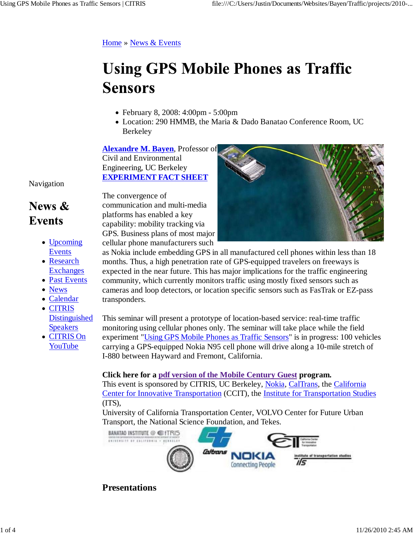### Home » News & Events

# **Using GPS Mobile Phones as Traffic Sensors**

- February 8, 2008: 4:00pm 5:00pm
- Location: 290 HMMB, the Maria & Dado Banatao Conference Room, UC Berkeley

**Alexandre M. Bayen**, Professor of Civil and Environmental Engineering, UC Berkeley **EXPERIMENT FACT SHEET**

Navigation

### News  $\&$ **Events**

- Upcoming Events
- Research **Exchanges**
- Past Events
- News
- Calendar
- CITRIS Distinguished Speakers
- CITRIS On YouTube

The convergence of communication and multi-media platforms has enabled a key capability: mobility tracking via GPS. Business plans of most major cellular phone manufacturers such

as Nokia include embedding GPS in all manufactured cell phones within less than 18 months. Thus, a high penetration rate of GPS-equipped travelers on freeways is expected in the near future. This has major implications for the traffic engineering community, which currently monitors traffic using mostly fixed sensors such as cameras and loop detectors, or location specific sensors such as FasTrak or EZ-pass

transponders.

This seminar will present a prototype of location-based service: real-time traffic monitoring using cellular phones only. The seminar will take place while the field experiment "Using GPS Mobile Phones as Traffic Sensors" is in progress: 100 vehicles carrying a GPS-equipped Nokia N95 cell phone will drive along a 10-mile stretch of I-880 between Hayward and Fremont, California.

#### **Click here for a pdf version of the Mobile Century Guest program.**

This event is sponsored by CITRIS, UC Berkeley, Nokia, CalTrans, the California Center for Innovative Transportation (CCIT), the Institute for Transportation Studies (ITS),

University of California Transportation Center, VOLVO Center for Future Urban Transport, the National Science Foundation, and Tekes.



**Presentations**

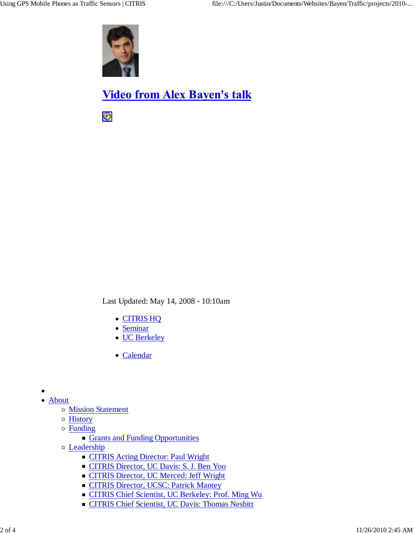

## **Video from Alex Bayen's talk**

 $\bullet$ 

Last Updated: May 14, 2008 - 10:10am

- CITRIS HQ
- Seminar
- UC Berkeley
- Calendar

- About o Mission Statement
	- History
	- Funding
		- Grants and Funding Opportunities
	- Leadership
		- **CITRIS Acting Director: Paul Wright**
		- CITRIS Director, UC Davis: S. J. Ben Yoo
		- CITRIS Director, UC Merced: Jeff Wright
		- **CITRIS Director, UCSC: Patrick Mantey**
		- CITRIS Chief Scientist, UC Berkeley: Prof. Ming Wu
		- **CITRIS Chief Scientist, UC Davis: Thomas Nesbitt**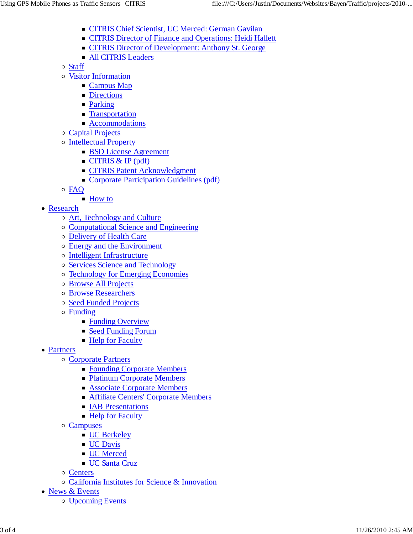- CITRIS Chief Scientist, UC Merced: German Gavilan
- **CITRIS Director of Finance and Operations: Heidi Hallett**
- **CITRIS Director of Development: Anthony St. George**
- **All CITRIS Leaders**

Staff

- Visitor Information
	- **Campus Map**
	- **Directions**
	- **Parking**
	- **Transportation**
	- **Accommodations**
- Capital Projects
- Intellectual Property
	- **BSD License Agreement**
	- $\blacksquare$  CITRIS & IP (pdf)
	- **CITRIS Patent Acknowledgment**
	- Corporate Participation Guidelines (pdf)
- FAQ
	- **How to**
- Research
	- Art, Technology and Culture
	- Computational Science and Engineering
	- Delivery of Health Care
	- Energy and the Environment
	- o Intelligent Infrastructure
	- o Services Science and Technology
	- Technology for Emerging Economies
	- Browse All Projects
	- Browse Researchers
	- o Seed Funded Projects
	- Funding
		- Funding Overview
		- Seed Funding Forum
		- Help for Faculty
- Partners
	- Corporate Partners
		- Founding Corporate Members
		- **Platinum Corporate Members**
		- Associate Corporate Members
		- **Affiliate Centers' Corporate Members**
		- **IAB Presentations**
		- Help for Faculty
	- Campuses
		- **UC** Berkeley
		- **UC** Davis
		- **UC** Merced
		- **UC** Santa Cruz
	- Centers
	- California Institutes for Science & Innovation
- News & Events
	- Upcoming Events